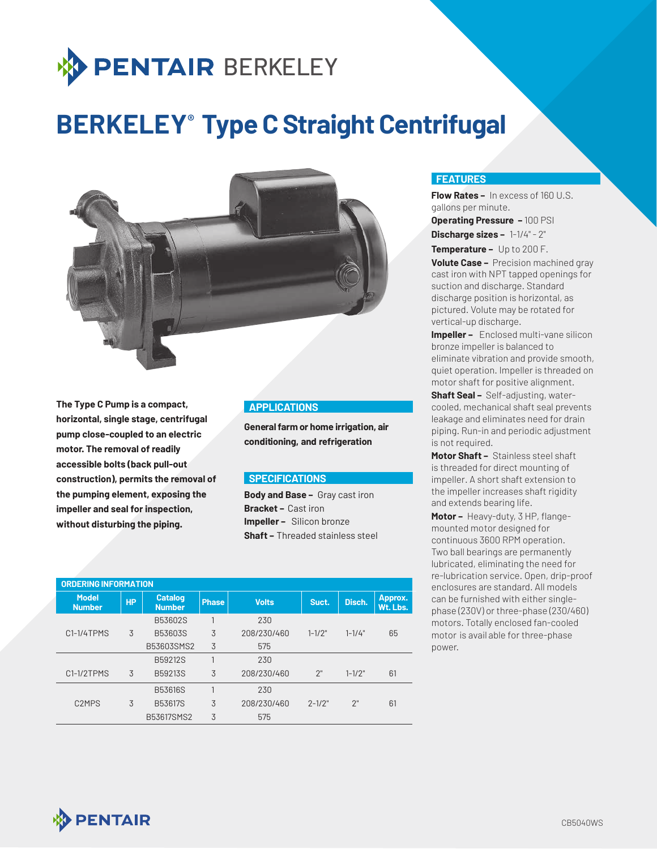

# **BERKELEY<sup>®</sup> Type C Straight Centrifugal**



**The Type C Pump is a compact, horizontal, single stage, centrifugal pump close-coupled to an electric motor. The removal of readily accessible bolts (back pull-out construction), permits the removal of the pumping element, exposing the impeller and seal for inspection, without disturbing the piping.**

## **APPLICATIONS**

**General farm or home irrigation, air conditioning, and refrigeration**

#### **SPECIFICATIONS**

**Body and Base –** Gray cast iron **Bracket –** Cast iron **Impeller –** Silicon bronze **Shaft –** Threaded stainless steel

| <b>ORDERING INFORMATION</b>    |           |                                 |              |                       |            |            |                     |
|--------------------------------|-----------|---------------------------------|--------------|-----------------------|------------|------------|---------------------|
| <b>Model</b><br><b>Number</b>  | <b>HP</b> | <b>Catalog</b><br><b>Number</b> | <b>Phase</b> | <b>Volts</b><br>Suct. |            | Disch.     | Approx.<br>Wt. Lbs. |
|                                |           | B53602S                         | 1            | 230                   |            |            |                     |
| C1-1/4TPMS                     | 3         | B53603S                         | 3            | 208/230/460           | $1 - 1/2"$ | $1 - 1/4"$ | 65                  |
|                                |           | B53603SMS2                      | 3            | 575                   |            |            |                     |
|                                |           | B59212S                         |              | 230                   |            |            |                     |
| C1-1/2TPMS                     | 3         | B59213S                         | 3            | 208/230/460           | 2"         | $1 - 1/2"$ | 61                  |
|                                |           | <b>B53616S</b>                  | 1            | 230                   |            |            |                     |
| C <sub>2</sub> MP <sub>S</sub> | 3         | B53617S                         | 3            | 208/230/460           | $2 - 1/2"$ | 2"         | 61                  |
|                                |           | B53617SMS2                      | 3            | 575                   |            |            |                     |

#### **FEATURES**

**Flow Rates –** In excess of 160 U.S. gallons per minute. **Discharge sizes –** 1-1/4" - 2" **Operating Pressure –** 100 PSI

**Temperature –** Up to 200 F.

**Volute Case –** Precision machined gray cast iron with NPT tapped openings for suction and discharge. Standard discharge position is horizontal, as pictured. Volute may be rotated for vertical-up discharge.

**Impeller -** Enclosed multi-vane silicon bronze impeller is balanced to eliminate vibration and provide smooth, quiet operation. Impeller is threaded on motor shaft for positive alignment.

**Shaft Seal –** Self-adjusting, watercooled, mechanical shaft seal prevents leakage and eliminates need for drain piping. Run-in and periodic adjustment is not required.

**Motor Shaft –** Stainless steel shaft is threaded for direct mounting of impeller. A short shaft extension to the impeller increases shaft rigidity and extends bearing life.

**Motor –** Heavy-duty, 3 HP, flangemounted motor designed for continuous 3600 RPM operation. Two ball bearings are permanently lubricated, eliminating the need for re-lubrication service. Open, drip-proof enclosures are standard. All models can be furnished with either singlephase (230V) or three-phase (230/460) motors. Totally enclosed fan-cooled motor is avail able for three-phase power.